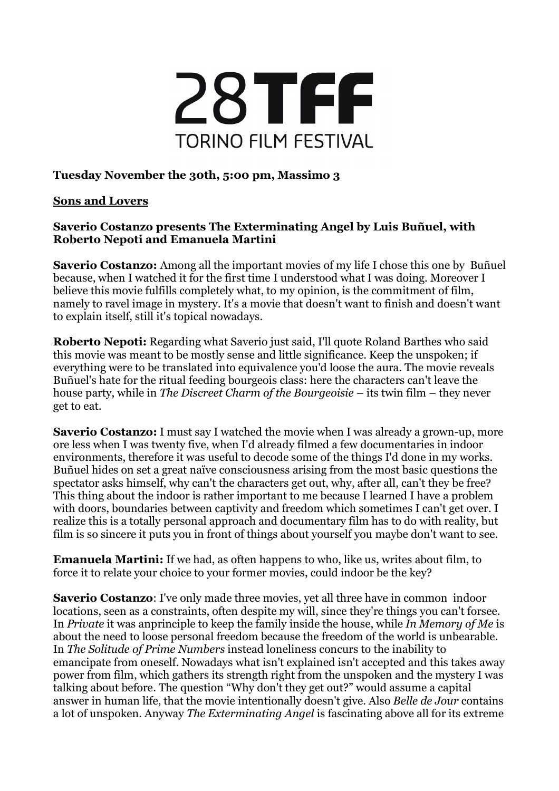

## **Tuesday November the 30th, 5:00 pm, Massimo 3**

## **Sons and Lovers**

## **Saverio Costanzo presents The Exterminating Angel by Luis Buñuel, with Roberto Nepoti and Emanuela Martini**

**Saverio Costanzo:** Among all the important movies of my life I chose this one by Buñuel because, when I watched it for the first time I understood what I was doing. Moreover I believe this movie fulfills completely what, to my opinion, is the commitment of film, namely to ravel image in mystery. It's a movie that doesn't want to finish and doesn't want to explain itself, still it's topical nowadays.

**Roberto Nepoti:** Regarding what Saverio just said, I'll quote Roland Barthes who said this movie was meant to be mostly sense and little significance. Keep the unspoken; if everything were to be translated into equivalence you'd loose the aura. The movie reveals Buñuel's hate for the ritual feeding bourgeois class: here the characters can't leave the house party, while in *The Discreet Charm of the Bourgeoisie* – its twin film – they never get to eat.

**Saverio Costanzo:** I must say I watched the movie when I was already a grown-up, more ore less when I was twenty five, when I'd already filmed a few documentaries in indoor environments, therefore it was useful to decode some of the things I'd done in my works. Buñuel hides on set a great naïve consciousness arising from the most basic questions the spectator asks himself, why can't the characters get out, why, after all, can't they be free? This thing about the indoor is rather important to me because I learned I have a problem with doors, boundaries between captivity and freedom which sometimes I can't get over. I realize this is a totally personal approach and documentary film has to do with reality, but film is so sincere it puts you in front of things about yourself you maybe don't want to see.

**Emanuela Martini:** If we had, as often happens to who, like us, writes about film, to force it to relate your choice to your former movies, could indoor be the key?

**Saverio Costanzo:** I've only made three movies, yet all three have in common indoor locations, seen as a constraints, often despite my will, since they're things you can't forsee. In *Private* it was anprinciple to keep the family inside the house, while *In Memory of Me* is about the need to loose personal freedom because the freedom of the world is unbearable. In *The Solitude of Prime Numbers* instead loneliness concurs to the inability to emancipate from oneself. Nowadays what isn't explained isn't accepted and this takes away power from film, which gathers its strength right from the unspoken and the mystery I was talking about before. The question "Why don't they get out?" would assume a capital answer in human life, that the movie intentionally doesn't give. Also *Belle de Jour* contains a lot of unspoken. Anyway *The Exterminating Angel* is fascinating above all for its extreme